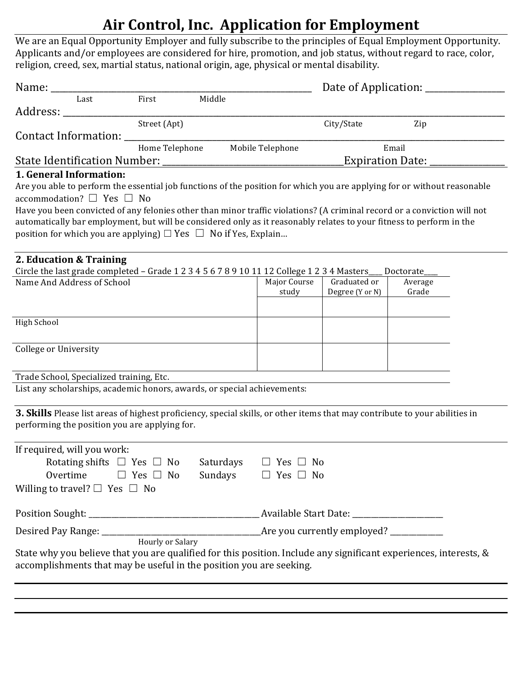## **Air Control, Inc. Application for Employment**

We are an Equal Opportunity Employer and fully subscribe to the principles of Equal Employment Opportunity. Applicants and/or employees are considered for hire, promotion, and job status, without regard to race, color, religion, creed, sex, martial status, national origin, age, physical or mental disability.

| Name: _________<br>Last                                                                                                                                                                                                                                                                                                                                                                                                                                                                                                     | First<br>Middle      |                           |                                                        | Date of Application: _____________ |                  |  |  |  |
|-----------------------------------------------------------------------------------------------------------------------------------------------------------------------------------------------------------------------------------------------------------------------------------------------------------------------------------------------------------------------------------------------------------------------------------------------------------------------------------------------------------------------------|----------------------|---------------------------|--------------------------------------------------------|------------------------------------|------------------|--|--|--|
| Address: _____________                                                                                                                                                                                                                                                                                                                                                                                                                                                                                                      |                      |                           |                                                        |                                    |                  |  |  |  |
|                                                                                                                                                                                                                                                                                                                                                                                                                                                                                                                             | Street (Apt)         |                           |                                                        | City/State                         | Zip              |  |  |  |
| Contact Information: ___________                                                                                                                                                                                                                                                                                                                                                                                                                                                                                            |                      |                           |                                                        |                                    |                  |  |  |  |
|                                                                                                                                                                                                                                                                                                                                                                                                                                                                                                                             | Home Telephone       | Mobile Telephone<br>Email |                                                        |                                    |                  |  |  |  |
|                                                                                                                                                                                                                                                                                                                                                                                                                                                                                                                             |                      | Expiration Date: _        |                                                        |                                    |                  |  |  |  |
| 1. General Information:<br>Are you able to perform the essential job functions of the position for which you are applying for or without reasonable<br>accommodation? $\Box$ Yes $\Box$ No<br>Have you been convicted of any felonies other than minor traffic violations? (A criminal record or a conviction will not<br>automatically bar employment, but will be considered only as it reasonably relates to your fitness to perform in the<br>position for which you are applying) $\Box$ Yes $\Box$ No if Yes, Explain |                      |                           |                                                        |                                    |                  |  |  |  |
| 2. Education & Training                                                                                                                                                                                                                                                                                                                                                                                                                                                                                                     |                      |                           |                                                        |                                    |                  |  |  |  |
| Circle the last grade completed - Grade 1 2 3 4 5 6 7 8 9 10 11 12 College 1 2 3 4 Masters                                                                                                                                                                                                                                                                                                                                                                                                                                  |                      |                           |                                                        |                                    | Doctorate        |  |  |  |
| Name And Address of School                                                                                                                                                                                                                                                                                                                                                                                                                                                                                                  |                      |                           | Major Course<br>study                                  | Graduated or<br>Degree (Y or N)    | Average<br>Grade |  |  |  |
| High School                                                                                                                                                                                                                                                                                                                                                                                                                                                                                                                 |                      |                           |                                                        |                                    |                  |  |  |  |
|                                                                                                                                                                                                                                                                                                                                                                                                                                                                                                                             |                      |                           |                                                        |                                    |                  |  |  |  |
| <b>College or University</b>                                                                                                                                                                                                                                                                                                                                                                                                                                                                                                |                      |                           |                                                        |                                    |                  |  |  |  |
| Trade School, Specialized training, Etc.                                                                                                                                                                                                                                                                                                                                                                                                                                                                                    |                      |                           |                                                        |                                    |                  |  |  |  |
| List any scholarships, academic honors, awards, or special achievements:                                                                                                                                                                                                                                                                                                                                                                                                                                                    |                      |                           |                                                        |                                    |                  |  |  |  |
| 3. Skills Please list areas of highest proficiency, special skills, or other items that may contribute to your abilities in<br>performing the position you are applying for.                                                                                                                                                                                                                                                                                                                                                |                      |                           |                                                        |                                    |                  |  |  |  |
| If required, will you work:<br>Rotating shifts $\Box$ Yes $\Box$ No                                                                                                                                                                                                                                                                                                                                                                                                                                                         |                      |                           |                                                        |                                    |                  |  |  |  |
| Overtime<br>Willing to travel? $\Box$ Yes $\Box$ No                                                                                                                                                                                                                                                                                                                                                                                                                                                                         | $\Box$ Yes $\Box$ No | Sundays                   | Saturdays $\Box$ Yes $\Box$ No<br>$\Box$ Yes $\Box$ No |                                    |                  |  |  |  |
|                                                                                                                                                                                                                                                                                                                                                                                                                                                                                                                             |                      |                           |                                                        |                                    |                  |  |  |  |
|                                                                                                                                                                                                                                                                                                                                                                                                                                                                                                                             |                      |                           |                                                        |                                    |                  |  |  |  |
| State why you believe that you are qualified for this position. Include any significant experiences, interests, &<br>accomplishments that may be useful in the position you are seeking.                                                                                                                                                                                                                                                                                                                                    |                      |                           |                                                        |                                    |                  |  |  |  |
|                                                                                                                                                                                                                                                                                                                                                                                                                                                                                                                             |                      |                           |                                                        |                                    |                  |  |  |  |
|                                                                                                                                                                                                                                                                                                                                                                                                                                                                                                                             |                      |                           |                                                        |                                    |                  |  |  |  |